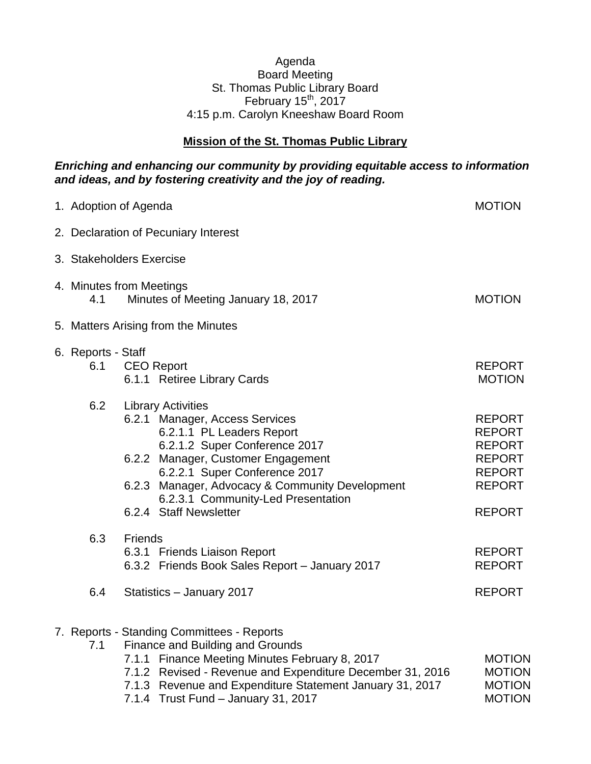## Agenda Board Meeting St. Thomas Public Library Board February  $15^{th}$ , 2017 4:15 p.m. Carolyn Kneeshaw Board Room

## **Mission of the St. Thomas Public Library**

## *Enriching and enhancing our community by providing equitable access to information and ideas, and by fostering creativity and the joy of reading.*

| 1. Adoption of Agenda                                                                   |                                                                                                                                                                                                                                                                                                                     |                                                                                                                     |  |  |
|-----------------------------------------------------------------------------------------|---------------------------------------------------------------------------------------------------------------------------------------------------------------------------------------------------------------------------------------------------------------------------------------------------------------------|---------------------------------------------------------------------------------------------------------------------|--|--|
| 2. Declaration of Pecuniary Interest                                                    |                                                                                                                                                                                                                                                                                                                     |                                                                                                                     |  |  |
| 3. Stakeholders Exercise                                                                |                                                                                                                                                                                                                                                                                                                     |                                                                                                                     |  |  |
| 4. Minutes from Meetings<br><b>MOTION</b><br>Minutes of Meeting January 18, 2017<br>4.1 |                                                                                                                                                                                                                                                                                                                     |                                                                                                                     |  |  |
| 5. Matters Arising from the Minutes                                                     |                                                                                                                                                                                                                                                                                                                     |                                                                                                                     |  |  |
| 6. Reports - Staff<br>6.1                                                               | <b>CEO Report</b><br>6.1.1 Retiree Library Cards                                                                                                                                                                                                                                                                    | <b>REPORT</b><br><b>MOTION</b>                                                                                      |  |  |
| 6.2                                                                                     | <b>Library Activities</b><br>6.2.1 Manager, Access Services<br>6.2.1.1 PL Leaders Report<br>6.2.1.2 Super Conference 2017<br>6.2.2 Manager, Customer Engagement<br>6.2.2.1 Super Conference 2017<br>6.2.3 Manager, Advocacy & Community Development<br>6.2.3.1 Community-Led Presentation<br>6.2.4 Staff Newsletter | <b>REPORT</b><br><b>REPORT</b><br><b>REPORT</b><br><b>REPORT</b><br><b>REPORT</b><br><b>REPORT</b><br><b>REPORT</b> |  |  |
| 6.3                                                                                     | <b>Friends</b><br>6.3.1 Friends Liaison Report<br>6.3.2 Friends Book Sales Report - January 2017                                                                                                                                                                                                                    | <b>REPORT</b><br><b>REPORT</b>                                                                                      |  |  |
| 6.4                                                                                     | Statistics - January 2017                                                                                                                                                                                                                                                                                           | <b>REPORT</b>                                                                                                       |  |  |
| 7.1                                                                                     | 7. Reports - Standing Committees - Reports<br>Finance and Building and Grounds<br>Finance Meeting Minutes February 8, 2017<br>7.1.1<br>7.1.2 Revised - Revenue and Expenditure December 31, 2016<br>7.1.3 Revenue and Expenditure Statement January 31, 2017<br>7.1.4 Trust Fund - January 31, 2017                 | <b>MOTION</b><br><b>MOTION</b><br><b>MOTION</b><br><b>MOTION</b>                                                    |  |  |